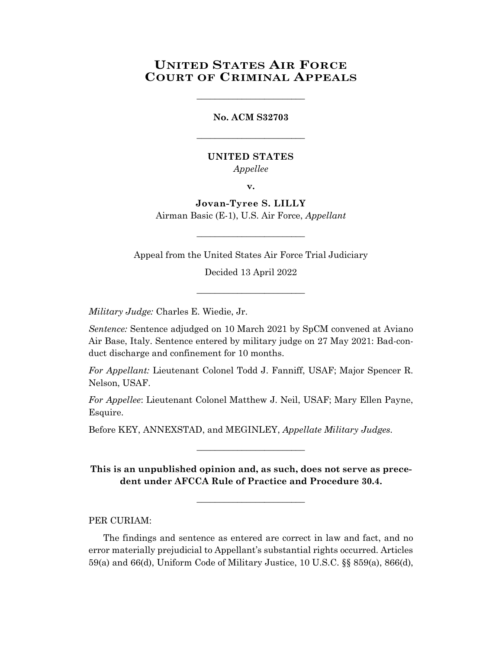## **UNITED STATES AIR FORCE COURT OF CRIMINAL APPEALS**

**No. ACM S32703**

\_\_\_\_\_\_\_\_\_\_\_\_\_\_\_\_\_\_\_\_\_\_\_\_

\_\_\_\_\_\_\_\_\_\_\_\_\_\_\_\_\_\_\_\_\_\_\_\_

## **UNITED STATES**

*Appellee*

**v.**

**Jovan-Tyree S. LILLY** Airman Basic (E-1), U.S. Air Force, *Appellant*

Appeal from the United States Air Force Trial Judiciary

\_\_\_\_\_\_\_\_\_\_\_\_\_\_\_\_\_\_\_\_\_\_\_\_

Decided 13 April 2022

\_\_\_\_\_\_\_\_\_\_\_\_\_\_\_\_\_\_\_\_\_\_\_\_

*Military Judge:* Charles E. Wiedie, Jr.

*Sentence:* Sentence adjudged on 10 March 2021 by SpCM convened at Aviano Air Base, Italy. Sentence entered by military judge on 27 May 2021: Bad-conduct discharge and confinement for 10 months.

*For Appellant:* Lieutenant Colonel Todd J. Fanniff, USAF; Major Spencer R. Nelson, USAF.

*For Appellee*: Lieutenant Colonel Matthew J. Neil, USAF; Mary Ellen Payne, Esquire.

Before KEY, ANNEXSTAD, and MEGINLEY, *Appellate Military Judges.*

**This is an unpublished opinion and, as such, does not serve as precedent under AFCCA Rule of Practice and Procedure 30.4.**

**\_\_\_\_\_\_\_\_\_\_\_\_\_\_\_\_\_\_\_\_\_\_\_\_**

\_\_\_\_\_\_\_\_\_\_\_\_\_\_\_\_\_\_\_\_\_\_\_\_

PER CURIAM:

The findings and sentence as entered are correct in law and fact, and no error materially prejudicial to Appellant's substantial rights occurred. Articles 59(a) and 66(d), Uniform Code of Military Justice, 10 U.S.C. §§ 859(a), 866(d),